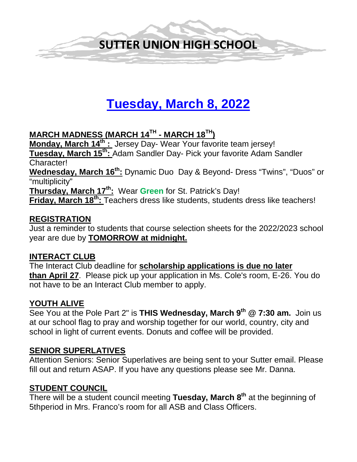

# **Tuesday, March 8, 2022**

# **MARCH MADNESS (MARCH 14TH - MARCH 18TH)**

**Monday, March 14<sup>th</sup> :** Jersey Day- Wear Your favorite team jersey! **Tuesday, March 15th:** Adam Sandler Day- Pick your favorite Adam Sandler Character!

Wednesday, March 16<sup>th</sup>: Dynamic Duo Day & Beyond- Dress "Twins", "Duos" or "multiplicity"

**Thursday, March 17th:** Wear **Green** for St. Patrick's Day!

**Friday, March 18<sup>th</sup>:** Teachers dress like students, students dress like teachers!

# **REGISTRATION**

Just a reminder to students that course selection sheets for the 2022/2023 school year are due by **TOMORROW at midnight.** 

# **INTERACT CLUB**

The Interact Club deadline for **scholarship applications is due no later than April 27**. Please pick up your application in Ms. Cole's room, E-26. You do not have to be an Interact Club member to apply.

# **YOUTH ALIVE**

See You at the Pole Part 2" is **THIS Wednesday, March 9th @ 7:30 am.** Join us at our school flag to pray and worship together for our world, country, city and school in light of current events. Donuts and coffee will be provided.

# **SENIOR SUPERLATIVES**

Attention Seniors: Senior Superlatives are being sent to your Sutter email. Please fill out and return ASAP. If you have any questions please see Mr. Danna.

#### **STUDENT COUNCIL**

There will be a student council meeting **Tuesday, March 8th** at the beginning of 5thperiod in Mrs. Franco's room for all ASB and Class Officers.